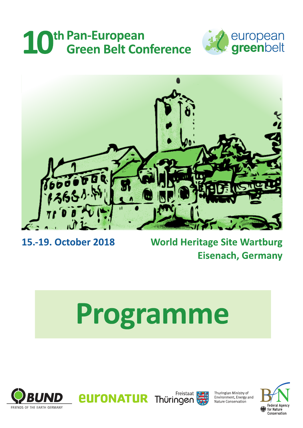# 10<sup>th Pan-European</sup><br>
Green Belt Conference





## 15.-19. October 2018

## **World Heritage Site Wartburg Eisenach, Germany**

# Programme







Thuringian Ministry of<br>Environment, Energy and<br>Nature Conservation

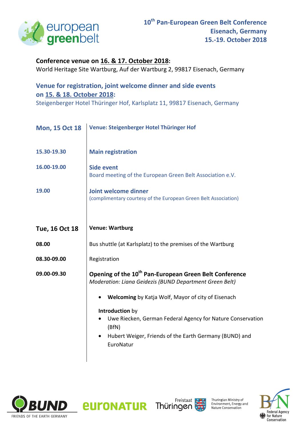

### **Conference venue on 16. & 17. October 2018:**

World Heritage Site Wartburg, Auf der Wartburg 2, 99817 Eisenach, Germany

## **Venue for registration, joint welcome dinner and side events on 15. & 18. October 2018:**

Steigenberger Hotel Thüringer Hof, Karlsplatz 11, 99817 Eisenach, Germany

| <b>Mon, 15 Oct 18</b> | Venue: Steigenberger Hotel Thüringer Hof                                                                                                                                   |
|-----------------------|----------------------------------------------------------------------------------------------------------------------------------------------------------------------------|
| 15.30-19.30           | <b>Main registration</b>                                                                                                                                                   |
| 16.00-19.00           | <b>Side event</b><br>Board meeting of the European Green Belt Association e.V.                                                                                             |
| 19.00                 | Joint welcome dinner<br>(complimentary courtesy of the European Green Belt Association)                                                                                    |
| <b>Tue, 16 Oct 18</b> | <b>Venue: Wartburg</b>                                                                                                                                                     |
| 08.00                 | Bus shuttle (at Karlsplatz) to the premises of the Wartburg                                                                                                                |
| 08.30-09.00           | Registration                                                                                                                                                               |
| 09.00-09.30           | Opening of the 10 <sup>th</sup> Pan-European Green Belt Conference<br>Moderation: Liana Geidezis (BUND Department Green Belt)                                              |
|                       | Welcoming by Katja Wolf, Mayor of city of Eisenach                                                                                                                         |
|                       | Introduction by<br>Uwe Riecken, German Federal Agency for Nature Conservation<br>(BfN)<br>Hubert Weiger, Friends of the Earth Germany (BUND) and<br>$\bullet$<br>EuroNatur |





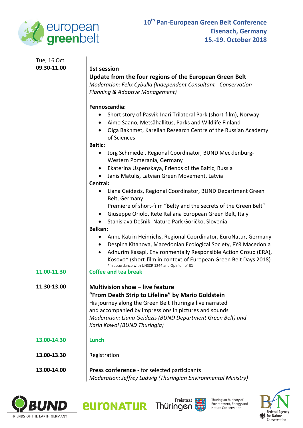

#### Tue, 16 Oct **09.30-11.00 1st session**

### **Update from the four regions of the European Green Belt**

*Moderation: Felix Cybulla (Independent Consultant - Conservation Planning & Adaptive Management)* 

#### **Fennoscandia:**

- Short story of Pasvik-Inari Trilateral Park (short-film), Norway
- Aimo Saano, Metsähallitus, Parks and Wildlife Finland
- Olga Bakhmet, Karelian Research Centre of the Russian Academy of Sciences

#### **Baltic:**

- Jörg Schmiedel, Regional Coordinator, BUND Mecklenburg-Western Pomerania, Germany
- Ekaterina Uspenskaya, Friends of the Baltic, Russia
- Jānis Matulis, Latvian Green Movement, Latvia

#### **Central:**

- Liana Geidezis, Regional Coordinator, BUND Department Green Belt, Germany
	- Premiere of short-film "Belty and the secrets of the Green Belt"
- Giuseppe Oriolo, Rete Italiana European Green Belt, Italy
- Stanislava Dešnik, Nature Park Goričko, Slovenia

#### **Balkan:**

- Anne Katrin Heinrichs, Regional Coordinator, EuroNatur, Germany
- Despina Kitanova, Macedonian Ecological Society, FYR Macedonia
- Adhurim Kasapi, Environmentally Responsible Action Group (ERA), Kosovo\* (short-film in context of European Green Belt Days 2018) \*In accordance with UNSCR 1244 and Opinion of ICJ

#### **11.00-11.30 Coffee and tea break**

**11.30-13.00 Multivision show – live feature "From Death Strip to Lifeline" by Mario Goldstein**  His journey along the Green Belt Thuringia live narrated and accompanied by impressions in pictures and sounds *Moderation: Liana Geidezis (BUND Department Green Belt) and Karin Kowol (BUND Thuringia)* 

#### **13.00-14.30 Lunch**

#### **13.00-13.30** Registration

**13.00-14.00 Press conference -** for selected participants *Moderation: Jeffrey Ludwig (Thuringian Environmental Ministry)* 







Thuringian Ministry of Environment, Energy and Nature Conservation

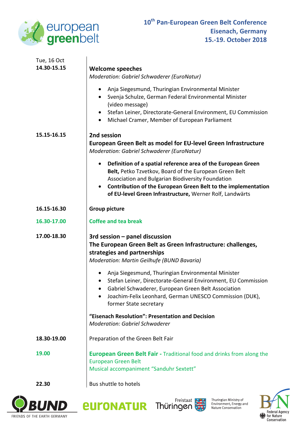

 $\overline{a}$ 

| Tue, 16 Oct |                                                                                                                                                                                                                                                                                                                                    |
|-------------|------------------------------------------------------------------------------------------------------------------------------------------------------------------------------------------------------------------------------------------------------------------------------------------------------------------------------------|
| 14.30-15.15 | <b>Welcome speeches</b>                                                                                                                                                                                                                                                                                                            |
|             | Moderation: Gabriel Schwaderer (EuroNatur)                                                                                                                                                                                                                                                                                         |
|             | Anja Siegesmund, Thuringian Environmental Minister<br>$\bullet$<br>Svenja Schulze, German Federal Environmental Minister<br>$\bullet$<br>(video message)<br>Stefan Leiner, Directorate-General Environment, EU Commission<br>$\bullet$<br>Michael Cramer, Member of European Parliament<br>$\bullet$                               |
| 15.15-16.15 | 2nd session                                                                                                                                                                                                                                                                                                                        |
|             | European Green Belt as model for EU-level Green Infrastructure                                                                                                                                                                                                                                                                     |
|             | <b>Moderation: Gabriel Schwaderer (EuroNatur)</b>                                                                                                                                                                                                                                                                                  |
|             | Definition of a spatial reference area of the European Green<br>$\bullet$<br>Belt, Petko Tzvetkov, Board of the European Green Belt<br>Association and Bulgarian Biodiversity Foundation<br>Contribution of the European Green Belt to the implementation<br>$\bullet$<br>of EU-level Green Infrastructure, Werner Rolf, Landwärts |
| 16.15-16.30 | <b>Group picture</b>                                                                                                                                                                                                                                                                                                               |
| 16.30-17.00 | <b>Coffee and tea break</b>                                                                                                                                                                                                                                                                                                        |
| 17.00-18.30 | $3rd$ session $-$ panel discussion<br>The European Green Belt as Green Infrastructure: challenges,<br>strategies and partnerships<br>Moderation: Martin Geilhufe (BUND Bavaria)                                                                                                                                                    |
|             | Anja Siegesmund, Thuringian Environmental Minister<br>$\bullet$<br>Stefan Leiner, Directorate-General Environment, EU Commission<br>$\bullet$<br>Gabriel Schwaderer, European Green Belt Association<br>Joachim-Felix Leonhard, German UNESCO Commission (DUK),<br>former State secretary                                          |
|             | "Eisenach Resolution": Presentation and Decision<br><b>Moderation: Gabriel Schwaderer</b>                                                                                                                                                                                                                                          |
| 18.30-19.00 | Preparation of the Green Belt Fair                                                                                                                                                                                                                                                                                                 |
| 19.00       | <b>European Green Belt Fair - Traditional food and drinks from along the</b><br><b>European Green Belt</b><br>Musical accompaniment "Sanduhr Sextett"                                                                                                                                                                              |
| 22.30       | Bus shuttle to hotels                                                                                                                                                                                                                                                                                                              |







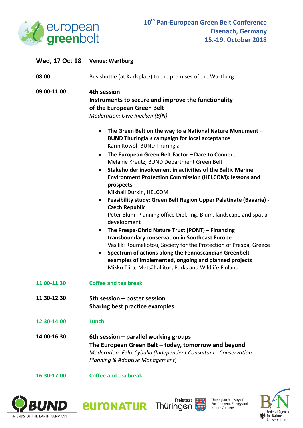

| Wed, 17 Oct 18 | <b>Venue: Wartburg</b>                                                                                                                                                                                                                                                                                                                                                                                                                                                                                                                                                                                                                                                                                                                                                                                                                                                       |
|----------------|------------------------------------------------------------------------------------------------------------------------------------------------------------------------------------------------------------------------------------------------------------------------------------------------------------------------------------------------------------------------------------------------------------------------------------------------------------------------------------------------------------------------------------------------------------------------------------------------------------------------------------------------------------------------------------------------------------------------------------------------------------------------------------------------------------------------------------------------------------------------------|
| 08.00          | Bus shuttle (at Karlsplatz) to the premises of the Wartburg                                                                                                                                                                                                                                                                                                                                                                                                                                                                                                                                                                                                                                                                                                                                                                                                                  |
| 09.00-11.00    | 4th session<br>Instruments to secure and improve the functionality<br>of the European Green Belt<br>Moderation: Uwe Riecken (BfN)<br>The Green Belt on the way to a National Nature Monument -<br>$\bullet$                                                                                                                                                                                                                                                                                                                                                                                                                                                                                                                                                                                                                                                                  |
|                | <b>BUND Thuringia's campaign for local acceptance</b><br>Karin Kowol, BUND Thuringia                                                                                                                                                                                                                                                                                                                                                                                                                                                                                                                                                                                                                                                                                                                                                                                         |
|                | The European Green Belt Factor - Dare to Connect<br>$\bullet$<br>Melanie Kreutz, BUND Department Green Belt<br>Stakeholder involvement in activities of the Baltic Marine<br>$\bullet$<br>Environment Protection Commission (HELCOM): lessons and<br>prospects<br>Mikhail Durkin, HELCOM<br>Feasibility study: Green Belt Region Upper Palatinate (Bavaria) -<br>$\bullet$<br><b>Czech Republic</b><br>Peter Blum, Planning office Dipl.-Ing. Blum, landscape and spatial<br>development<br>The Prespa-Ohrid Nature Trust (PONT) - Financing<br>$\bullet$<br>transboundary conservation in Southeast Europe<br>Vasiliki Roumeliotou, Society for the Protection of Prespa, Greece<br>Spectrum of actions along the Fennoscandian Greenbelt -<br>$\bullet$<br>examples of implemented, ongoing and planned projects<br>Mikko Tiira, Metsähallitus, Parks and Wildlife Finland |
| 11.00-11.30    | <b>Coffee and tea break</b>                                                                                                                                                                                                                                                                                                                                                                                                                                                                                                                                                                                                                                                                                                                                                                                                                                                  |
| 11.30-12.30    | 5th session - poster session<br><b>Sharing best practice examples</b>                                                                                                                                                                                                                                                                                                                                                                                                                                                                                                                                                                                                                                                                                                                                                                                                        |
| 12.30-14.00    | Lunch                                                                                                                                                                                                                                                                                                                                                                                                                                                                                                                                                                                                                                                                                                                                                                                                                                                                        |
| 14.00-16.30    | 6th session – parallel working groups<br>The European Green Belt – today, tomorrow and beyond<br>Moderation: Felix Cybulla (Independent Consultant - Conservation<br>Planning & Adaptive Management)                                                                                                                                                                                                                                                                                                                                                                                                                                                                                                                                                                                                                                                                         |
| 16.30-17.00    | <b>Coffee and tea break</b>                                                                                                                                                                                                                                                                                                                                                                                                                                                                                                                                                                                                                                                                                                                                                                                                                                                  |





*<u>EULONATUR</u>*